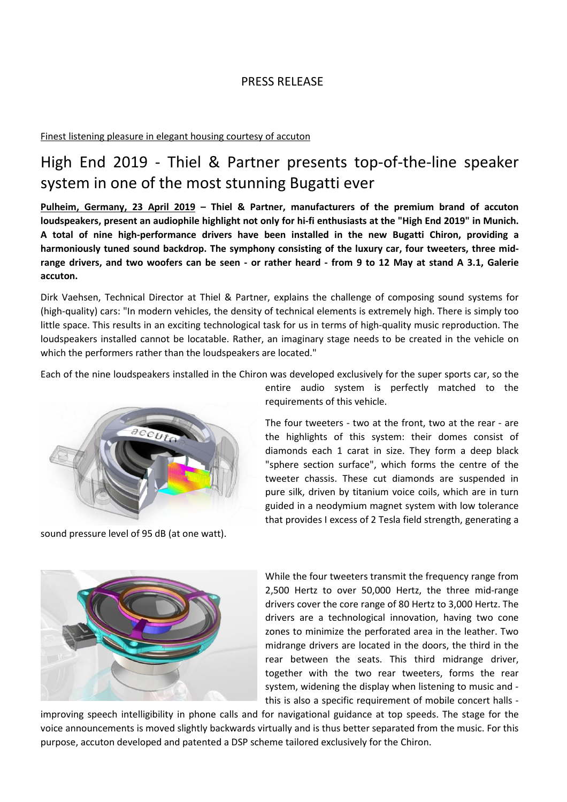# PRESS RELEASE

## Finest listening pleasure in elegant housing courtesy of accuton

# High End 2019 - Thiel & Partner presents top-of-the-line speaker system in one of the most stunning Bugatti ever

**Pulheim, Germany, 23 April 2019 – Thiel & Partner, manufacturers of the premium brand of accuton loudspeakers, present an audiophile highlight not only for hi-fi enthusiasts at the "High End 2019" in Munich. A total of nine high-performance drivers have been installed in the new Bugatti Chiron, providing a harmoniously tuned sound backdrop. The symphony consisting of the luxury car, four tweeters, three midrange drivers, and two woofers can be seen - or rather heard - from 9 to 12 May at stand A 3.1, Galerie accuton.** 

Dirk Vaehsen, Technical Director at Thiel & Partner, explains the challenge of composing sound systems for (high-quality) cars: "In modern vehicles, the density of technical elements is extremely high. There is simply too little space. This results in an exciting technological task for us in terms of high-quality music reproduction. The loudspeakers installed cannot be locatable. Rather, an imaginary stage needs to be created in the vehicle on which the performers rather than the loudspeakers are located."

Each of the nine loudspeakers installed in the Chiron was developed exclusively for the super sports car, so the



sound pressure level of 95 dB (at one watt).

entire audio system is perfectly matched to the requirements of this vehicle.

The four tweeters - two at the front, two at the rear - are the highlights of this system: their domes consist of diamonds each 1 carat in size. They form a deep black "sphere section surface", which forms the centre of the tweeter chassis. These cut diamonds are suspended in pure silk, driven by titanium voice coils, which are in turn guided in a neodymium magnet system with low tolerance that provides I excess of 2 Tesla field strength, generating a



While the four tweeters transmit the frequency range from 2,500 Hertz to over 50,000 Hertz, the three mid-range drivers cover the core range of 80 Hertz to 3,000 Hertz. The drivers are a technological innovation, having two cone zones to minimize the perforated area in the leather. Two midrange drivers are located in the doors, the third in the rear between the seats. This third midrange driver, together with the two rear tweeters, forms the rear system, widening the display when listening to music and this is also a specific requirement of mobile concert halls -

improving speech intelligibility in phone calls and for navigational guidance at top speeds. The stage for the voice announcements is moved slightly backwards virtually and is thus better separated from the music. For this purpose, accuton developed and patented a DSP scheme tailored exclusively for the Chiron.